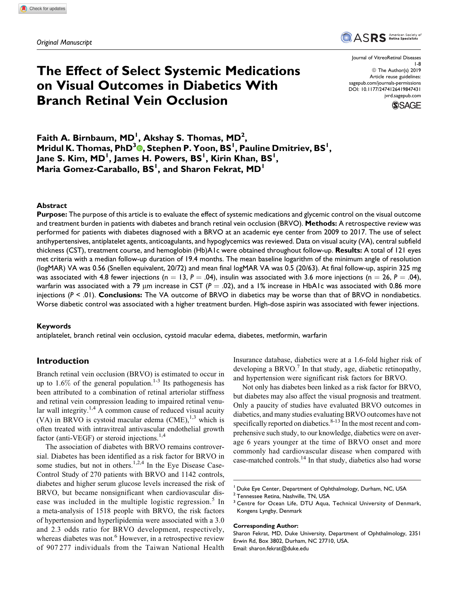

# The Effect of Select Systemic Medications on Visual Outcomes in Diabetics With Branch Retinal Vein Occlusion

Journal of VitreoRetinal Diseases 1-8 © The Author(s) 2019 Article reuse guidelines: [sagepub.com/journals-permissions](https://sagepub.com/journals-permissions) [DOI: 10.1177/2474126419847431](https://doi.org/10.1177/2474126419847431) [jvrd.sagepub.com](http://jvrd.sagepub.com)



Faith A. Birnbaum, MD<sup>1</sup>, Akshay S. Thomas, MD<sup>2</sup>, Mridul K. Thomas[,](https://orcid.org/0000-0002-5089-5610) PhD<sup>3</sup>®, Stephen P. Yoon, BS<sup>1</sup>, Pauline Dmitriev, BS<sup>1</sup>, Jane S. Kim, MD<sup>I</sup>, James H. Powers, BS<sup>I</sup>, Kirin Khan, BS<sup>I</sup>,  $\mathsf{Maria}\ \mathsf{Gomez}\text{-}\mathsf{Caraballo}, \mathsf{BS}^{\mathsf{I}}, \text{and}\ \mathsf{Sharon}\ \mathsf{Fekrat}, \mathsf{MD}^{\mathsf{I}}$ 

### Abstract

Purpose: The purpose of this article is to evaluate the effect of systemic medications and glycemic control on the visual outcome and treatment burden in patients with diabetes and branch retinal vein occlusion (BRVO). Methods: A retrospective review was performed for patients with diabetes diagnosed with a BRVO at an academic eye center from 2009 to 2017. The use of select antihypertensives, antiplatelet agents, anticoagulants, and hypoglycemics was reviewed. Data on visual acuity (VA), central subfield thickness (CST), treatment course, and hemoglobin (Hb)A1c were obtained throughout follow-up. Results: A total of 121 eyes met criteria with a median follow-up duration of 19.4 months. The mean baseline logarithm of the minimum angle of resolution (logMAR) VA was 0.56 (Snellen equivalent, 20/72) and mean final logMAR VA was 0.5 (20/63). At final follow-up, aspirin 325 mg was associated with 4.8 fewer injections (n = 13, P = .04), insulin was associated with 3.6 more injections (n = 26, P = .04), warfarin was associated with a 79 µm increase in CST ( $P = .02$ ), and a 1% increase in HbA1c was associated with 0.86 more injections  $(P < .01)$ . Conclusions: The VA outcome of BRVO in diabetics may be worse than that of BRVO in nondiabetics. Worse diabetic control was associated with a higher treatment burden. High-dose aspirin was associated with fewer injections.

### Keywords

antiplatelet, branch retinal vein occlusion, cystoid macular edema, diabetes, metformin, warfarin

# Introduction

Branch retinal vein occlusion (BRVO) is estimated to occur in up to  $1.6\%$  of the general population.<sup>1-3</sup> Its pathogenesis has been attributed to a combination of retinal arteriolar stiffness and retinal vein compression leading to impaired retinal venular wall integrity.<sup>1,4</sup> A common cause of reduced visual acuity (VA) in BRVO is cystoid macular edema  $(CME)$ ,<sup>1,3</sup> which is often treated with intravitreal antivascular endothelial growth factor (anti-VEGF) or steroid injections.<sup>1,4</sup>

The association of diabetes with BRVO remains controversial. Diabetes has been identified as a risk factor for BRVO in some studies, but not in others.<sup>1,2,4</sup> In the Eye Disease Case-Control Study of 270 patients with BRVO and 1142 controls, diabetes and higher serum glucose levels increased the risk of BRVO, but became nonsignificant when cardiovascular disease was included in the multiple logistic regression.<sup>5</sup> In a meta-analysis of 1518 people with BRVO, the risk factors of hypertension and hyperlipidemia were associated with a 3.0 and 2.3 odds ratio for BRVO development, respectively, whereas diabetes was not.<sup>6</sup> However, in a retrospective review of 907 277 individuals from the Taiwan National Health

Insurance database, diabetics were at a 1.6-fold higher risk of developing a BRVO.<sup>7</sup> In that study, age, diabetic retinopathy, and hypertension were significant risk factors for BRVO.

Not only has diabetes been linked as a risk factor for BRVO, but diabetes may also affect the visual prognosis and treatment. Only a paucity of studies have evaluated BRVO outcomes in diabetics, and many studies evaluating BRVO outcomes have not specifically reported on diabetics. $8-13$  In the most recent and comprehensive such study, to our knowledge, diabetics were on average 6 years younger at the time of BRVO onset and more commonly had cardiovascular disease when compared with case-matched controls.<sup>14</sup> In that study, diabetics also had worse

Duke Eye Center, Department of Ophthalmology, Durham, NC, USA

#### Corresponding Author:

Sharon Fekrat, MD, Duke University, Department of Ophthalmology, 2351 Erwin Rd, Box 3802, Durham, NC 27710, USA. Email: [sharon.fekrat@duke.edu](mailto:sharon.fekrat@duke.edu)

<sup>&</sup>lt;sup>2</sup> Tennessee Retina, Nashville, TN, USA

<sup>&</sup>lt;sup>3</sup> Centre for Ocean Life, DTU Aqua, Technical University of Denmark, Kongens Lyngby, Denmark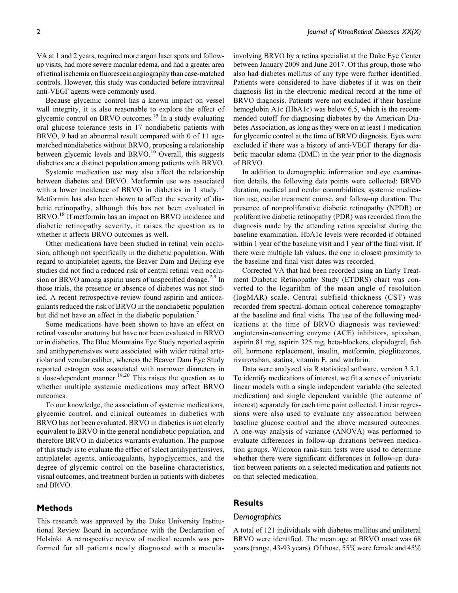VA at 1 and 2 years, required more argon laser spots and followup visits, had more severe macular edema, and had a greater area of retinal ischemia on fluorescein angiography than case-matched controls. However, this study was conducted before intravitreal anti-VEGF agents were commonly used.

Because glycemic control has a known impact on vessel wall integrity, it is also reasonable to explore the effect of glycemic control on BRVO outcomes.<sup>15</sup> In a study evaluating oral glucose tolerance tests in 17 nondiabetic patients with BRVO, 9 had an abnormal result compared with 0 of 11 agematched nondiabetics without BRVO, proposing a relationship between glycemic levels and BRVO.<sup>16</sup> Overall, this suggests diabetics are a distinct population among patients with BRVO.

Systemic medication use may also affect the relationship between diabetes and BRVO. Metformin use was associated with a lower incidence of BRVO in diabetics in 1 study.<sup>17</sup> Metformin has also been shown to affect the severity of diabetic retinopathy, although this has not been evaluated in BRVO.<sup>18</sup> If metformin has an impact on BRVO incidence and diabetic retinopathy severity, it raises the question as to whether it affects BRVO outcomes as well.

Other medications have been studied in retinal vein occlusion, although not specifically in the diabetic population. With regard to antiplatelet agents, the Beaver Dam and Beijing eye studies did not find a reduced risk of central retinal vein occlusion or BRVO among aspirin users of unspecified dosage. $^{2,3}$  In those trials, the presence or absence of diabetes was not studied. A recent retrospective review found aspirin and anticoagulants reduced the risk of BRVO in the nondiabetic population but did not have an effect in the diabetic population.

Some medications have been shown to have an effect on retinal vascular anatomy but have not been evaluated in BRVO or in diabetics. The Blue Mountains Eye Study reported aspirin and antihypertensives were associated with wider retinal arteriolar and venular caliber, whereas the Beaver Dam Eye Study reported estrogen was associated with narrower diameters in a dose-dependent manner.<sup>19,20</sup> This raises the question as to whether multiple systemic medications may affect BRVO outcomes.

To our knowledge, the association of systemic medications, glycemic control, and clinical outcomes in diabetics with BRVO has not been evaluated. BRVO in diabetics is not clearly equivalent to BRVO in the general nondiabetic population, and therefore BRVO in diabetics warrants evaluation. The purpose of this study is to evaluate the effect of select antihypertensives, antiplatelet agents, anticoagulants, hypoglycemics, and the degree of glycemic control on the baseline characteristics, visual outcomes, and treatment burden in patients with diabetes and BRVO.

# Methods

This research was approved by the Duke University Institutional Review Board in accordance with the Declaration of Helsinki. A retrospective review of medical records was performed for all patients newly diagnosed with a maculainvolving BRVO by a retina specialist at the Duke Eye Center between January 2009 and June 2017. Of this group, those who also had diabetes mellitus of any type were further identified. Patients were considered to have diabetes if it was on their diagnosis list in the electronic medical record at the time of BRVO diagnosis. Patients were not excluded if their baseline hemoglobin A1c (HbA1c) was below 6.5, which is the recommended cutoff for diagnosing diabetes by the American Diabetes Association, as long as they were on at least 1 medication for glycemic control at the time of BRVO diagnosis. Eyes were excluded if there was a history of anti-VEGF therapy for diabetic macular edema (DME) in the year prior to the diagnosis of BRVO.

In addition to demographic information and eye examination details, the following data points were collected: BRVO duration, medical and ocular comorbidities, systemic medication use, ocular treatment course, and follow-up duration. The presence of nonproliferative diabetic retinopathy (NPDR) or proliferative diabetic retinopathy (PDR) was recorded from the diagnosis made by the attending retina specialist during the baseline examination. HbA1c levels were recorded if obtained within 1 year of the baseline visit and 1 year of the final visit. If there were multiple lab values, the one in closest proximity to the baseline and final visit dates was recorded.

Corrected VA that had been recorded using an Early Treatment Diabetic Retinopathy Study (ETDRS) chart was converted to the logarithm of the mean angle of resolution (logMAR) scale. Central subfield thickness (CST) was recorded from spectral-domain optical coherence tomography at the baseline and final visits. The use of the following medications at the time of BRVO diagnosis was reviewed: angiotensin-converting enzyme (ACE) inhibitors, apixaban, aspirin 81 mg, aspirin 325 mg, beta-blockers, clopidogrel, fish oil, hormone replacement, insulin, metformin, pioglitazones, rivaroxaban, statins, vitamin E, and warfarin.

Data were analyzed via R statistical software, version 3.5.1. To identify medications of interest, we fit a series of univariate linear models with a single independent variable (the selected medication) and single dependent variable (the outcome of interest) separately for each time point collected. Linear regressions were also used to evaluate any association between baseline glucose control and the above measured outcomes. A one-way analysis of variance (ANOVA) was performed to evaluate differences in follow-up durations between medication groups. Wilcoxon rank-sum tests were used to determine whether there were significant differences in follow-up duration between patients on a selected medication and patients not on that selected medication.

# Results

### Demographics

A total of 121 individuals with diabetes mellitus and unilateral BRVO were identified. The mean age at BRVO onset was 68 years (range, 43-93 years). Of those, 55% were female and 45%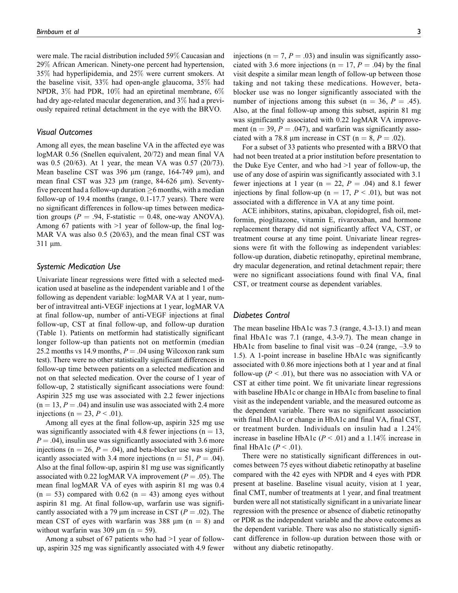were male. The racial distribution included 59% Caucasian and 29% African American. Ninety-one percent had hypertension, 35% had hyperlipidemia, and 25% were current smokers. At the baseline visit, 33% had open-angle glaucoma, 35% had NPDR, 3% had PDR, 10% had an epiretinal membrane, 6% had dry age-related macular degeneration, and 3% had a previously repaired retinal detachment in the eye with the BRVO.

### Visual Outcomes

Among all eyes, the mean baseline VA in the affected eye was logMAR 0.56 (Snellen equivalent, 20/72) and mean final VA was 0.5 (20/63). At 1 year, the mean VA was 0.57 (20/73). Mean baseline CST was 396  $\mu$ m (range, 164-749  $\mu$ m), and mean final CST was 323 µm (range, 84-626 µm). Seventyfive percent had a follow-up duration  $\geq$ 6 months, with a median follow-up of 19.4 months (range, 0.1-17.7 years). There were no significant differences in follow-up times between medication groups ( $P = .94$ , F-statistic  $= 0.48$ , one-way ANOVA). Among 67 patients with >1 year of follow-up, the final log-MAR VA was also 0.5 (20/63), and the mean final CST was  $311 \mu m$ .

### Systemic Medication Use

Univariate linear regressions were fitted with a selected medication used at baseline as the independent variable and 1 of the following as dependent variable: logMAR VA at 1 year, number of intravitreal anti-VEGF injections at 1 year, logMAR VA at final follow-up, number of anti-VEGF injections at final follow-up, CST at final follow-up, and follow-up duration (Table 1). Patients on metformin had statistically significant longer follow-up than patients not on metformin (median 25.2 months vs 14.9 months,  $P = .04$  using Wilcoxon rank sum test). There were no other statistically significant differences in follow-up time between patients on a selected medication and not on that selected medication. Over the course of 1 year of follow-up, 2 statistically significant associations were found: Aspirin 325 mg use was associated with 2.2 fewer injections  $(n = 13, P = .04)$  and insulin use was associated with 2.4 more injections (n = 23,  $P < .01$ ).

Among all eyes at the final follow-up, aspirin 325 mg use was significantly associated with 4.8 fewer injections ( $n = 13$ ,  $P = .04$ ), insulin use was significantly associated with 3.6 more injections ( $n = 26$ ,  $P = .04$ ), and beta-blocker use was significantly associated with 3.4 more injections ( $n = 51$ ,  $P = .04$ ). Also at the final follow-up, aspirin 81 mg use was significantly associated with 0.22 logMAR VA improvement ( $P = .05$ ). The mean final logMAR VA of eyes with aspirin 81 mg was 0.4  $(n = 53)$  compared with 0.62  $(n = 43)$  among eyes without aspirin 81 mg. At final follow-up, warfarin use was significantly associated with a 79  $\mu$ m increase in CST ( $P = .02$ ). The mean CST of eyes with warfarin was 388  $\mu$ m (n = 8) and without warfarin was 309  $\mu$ m (n = 59).

Among a subset of 67 patients who had >1 year of followup, aspirin 325 mg was significantly associated with 4.9 fewer injections ( $n = 7, P = .03$ ) and insulin was significantly associated with 3.6 more injections ( $n = 17$ ,  $P = .04$ ) by the final visit despite a similar mean length of follow-up between those taking and not taking these medications. However, betablocker use was no longer significantly associated with the number of injections among this subset ( $n = 36$ ,  $P = .45$ ). Also, at the final follow-up among this subset, aspirin 81 mg was significantly associated with 0.22 logMAR VA improvement ( $n = 39$ ,  $P = .047$ ), and warfarin was significantly associated with a 78.8 µm increase in CST ( $n = 8$ ,  $P = .02$ ).

For a subset of 33 patients who presented with a BRVO that had not been treated at a prior institution before presentation to the Duke Eye Center, and who had >1 year of follow-up, the use of any dose of aspirin was significantly associated with 3.1 fewer injections at 1 year ( $n = 22$ ,  $P = .04$ ) and 8.1 fewer injections by final follow-up (n = 17,  $P < .01$ ), but was not associated with a difference in VA at any time point.

ACE inhibitors, statins, apixaban, clopidogrel, fish oil, metformin, pioglitazone, vitamin E, rivaroxaban, and hormone replacement therapy did not significantly affect VA, CST, or treatment course at any time point. Univariate linear regressions were fit with the following as independent variables: follow-up duration, diabetic retinopathy, epiretinal membrane, dry macular degeneration, and retinal detachment repair; there were no significant associations found with final VA, final CST, or treatment course as dependent variables.

### Diabetes Control

The mean baseline HbA1c was 7.3 (range, 4.3-13.1) and mean final HbA1c was 7.1 (range, 4.3-9.7). The mean change in HbA1c from baseline to final visit was  $-0.24$  (range,  $-3.9$  to 1.5). A 1-point increase in baseline HbA1c was significantly associated with 0.86 more injections both at 1 year and at final follow-up ( $P < .01$ ), but there was no association with VA or CST at either time point. We fit univariate linear regressions with baseline HbA1c or change in HbA1c from baseline to final visit as the independent variable, and the measured outcome as the dependent variable. There was no significant association with final HbA1c or change in HbA1c and final VA, final CST, or treatment burden. Individuals on insulin had a 1.24% increase in baseline HbA1c ( $P < .01$ ) and a 1.14% increase in final HbA1c ( $P < .01$ ).

There were no statistically significant differences in outcomes between 75 eyes without diabetic retinopathy at baseline compared with the 42 eyes with NPDR and 4 eyes with PDR present at baseline. Baseline visual acuity, vision at 1 year, final CMT, number of treatments at 1 year, and final treatment burden were all not statistically significant in a univariate linear regression with the presence or absence of diabetic retinopathy or PDR as the independent variable and the above outcomes as the dependent variable. There was also no statistically significant difference in follow-up duration between those with or without any diabetic retinopathy.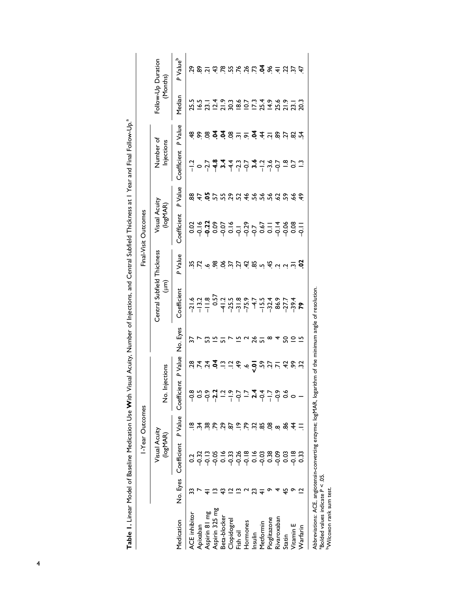|                    |          |                                            | I-Year Outcomes |                                        |                                                                                                                                                                                                                                                                                  |          |                                                                                                                                                                                                                                                                                                                                                           |         | Final-Visit Outcomes        |                                              |                                                                                                                                                                                                                                                                                                                           |                   |                                           |                               |
|--------------------|----------|--------------------------------------------|-----------------|----------------------------------------|----------------------------------------------------------------------------------------------------------------------------------------------------------------------------------------------------------------------------------------------------------------------------------|----------|-----------------------------------------------------------------------------------------------------------------------------------------------------------------------------------------------------------------------------------------------------------------------------------------------------------------------------------------------------------|---------|-----------------------------|----------------------------------------------|---------------------------------------------------------------------------------------------------------------------------------------------------------------------------------------------------------------------------------------------------------------------------------------------------------------------------|-------------------|-------------------------------------------|-------------------------------|
|                    |          | Visual Acuity<br>(logMAP)                  |                 | No. In                                 | ections                                                                                                                                                                                                                                                                          |          | Central Subfield Thickness<br>(um)                                                                                                                                                                                                                                                                                                                        |         | Visual Acuity<br>(logMAR)   |                                              | Number of<br>Injections                                                                                                                                                                                                                                                                                                   |                   | Follow-Up Duration<br>(Months)            |                               |
| Medication         | No. Eyes | Coefficient                                | P Value         | Coefficient                            | P Value                                                                                                                                                                                                                                                                          | No. Eyes | Coefficient                                                                                                                                                                                                                                                                                                                                               | P Value | Coefficient                 | P Value                                      | Coefficient                                                                                                                                                                                                                                                                                                               | P Value           | Median                                    | P Value <sup>b</sup>          |
| ACE inhibitor      |          |                                            |                 |                                        |                                                                                                                                                                                                                                                                                  |          |                                                                                                                                                                                                                                                                                                                                                           |         |                             |                                              |                                                                                                                                                                                                                                                                                                                           |                   |                                           |                               |
| Apixaban           |          |                                            |                 |                                        |                                                                                                                                                                                                                                                                                  |          |                                                                                                                                                                                                                                                                                                                                                           |         |                             |                                              |                                                                                                                                                                                                                                                                                                                           |                   |                                           |                               |
| Aspirin 81 mg      |          | ~<br>~~~~~~~~~~~~~~~~~~<br>~~~~~~~~~~~~~~~ | ≋               | ၜၟၑၟၜၟၛၟၣၜၟၣၣႜၛၣၣၜၜ<br>ၜၜၣၛႝၣၣၣၣႜၛၜၣၜၜ | $\ddot{S}$ $\ddot{S}$ $\ddot{S}$ $\ddot{S}$ $\ddot{S}$ $\ddot{S}$ $\ddot{S}$ $\ddot{S}$ $\ddot{S}$ $\ddot{S}$ $\ddot{S}$ $\ddot{S}$ $\ddot{S}$ $\ddot{S}$ $\ddot{S}$ $\ddot{S}$ $\ddot{S}$ $\ddot{S}$ $\ddot{S}$ $\ddot{S}$ $\ddot{S}$ $\ddot{S}$ $\ddot{S}$ $\ddot{S}$ $\ddot{$ | S        | $\frac{1}{2}$ $\frac{1}{2}$ $\frac{1}{2}$ $\frac{1}{2}$ $\frac{1}{2}$ $\frac{1}{2}$ $\frac{1}{2}$ $\frac{1}{2}$ $\frac{1}{2}$ $\frac{1}{2}$ $\frac{1}{2}$ $\frac{1}{2}$ $\frac{1}{2}$ $\frac{1}{2}$ $\frac{1}{2}$ $\frac{1}{2}$ $\frac{1}{2}$ $\frac{1}{2}$ $\frac{1}{2}$ $\frac{1}{2}$ $\frac{1}{2}$ $\frac{1}{2}$ $\frac{1}{2}$ $\frac{1}{2}$ $\frac{1$ |         | $39.73859 - 8.55779 = 4887$ | $8.45$ D D $2.50$ D $4.50$ D $2.50$ D $2.50$ | $\frac{1}{1}$ $\circ$ $\frac{1}{1}$ $\frac{1}{2}$ $\frac{1}{2}$ $\frac{1}{4}$ $\frac{1}{2}$ $\frac{1}{2}$ $\frac{1}{2}$ $\frac{1}{2}$ $\frac{1}{2}$ $\frac{1}{2}$ $\frac{1}{2}$ $\frac{1}{2}$ $\frac{1}{2}$ $\frac{1}{2}$ $\frac{1}{2}$ $\frac{1}{2}$ $\frac{1}{2}$ $\frac{1}{2}$ $\frac{1}{2}$ $\frac{1}{2}$ $\frac{1}{$ | 88887887787478787 | といいしょう ? しいこん ? とりにいいこと ? いいい ? いいい ? いいの | c & n q & n k a c q & d u r d |
| Aspirin 325 mg     |          |                                            | ድ               |                                        |                                                                                                                                                                                                                                                                                  | ற        |                                                                                                                                                                                                                                                                                                                                                           |         |                             |                                              |                                                                                                                                                                                                                                                                                                                           |                   |                                           |                               |
| Beta-blocker       |          |                                            | 29              |                                        |                                                                                                                                                                                                                                                                                  |          |                                                                                                                                                                                                                                                                                                                                                           |         |                             |                                              |                                                                                                                                                                                                                                                                                                                           |                   |                                           |                               |
| <b>Clopidogrel</b> |          |                                            | 5               |                                        |                                                                                                                                                                                                                                                                                  |          |                                                                                                                                                                                                                                                                                                                                                           |         |                             |                                              |                                                                                                                                                                                                                                                                                                                           |                   |                                           |                               |
| Fish oil           |          |                                            | $\tilde{=}$     |                                        |                                                                                                                                                                                                                                                                                  |          |                                                                                                                                                                                                                                                                                                                                                           |         |                             |                                              |                                                                                                                                                                                                                                                                                                                           |                   |                                           |                               |
| Hormones           |          |                                            | $\tilde{z}$     |                                        |                                                                                                                                                                                                                                                                                  |          |                                                                                                                                                                                                                                                                                                                                                           |         |                             |                                              |                                                                                                                                                                                                                                                                                                                           |                   |                                           |                               |
| Insulin            |          |                                            |                 |                                        |                                                                                                                                                                                                                                                                                  | 26       |                                                                                                                                                                                                                                                                                                                                                           |         |                             |                                              |                                                                                                                                                                                                                                                                                                                           |                   |                                           |                               |
| Metformin          |          |                                            | 78800           |                                        |                                                                                                                                                                                                                                                                                  |          |                                                                                                                                                                                                                                                                                                                                                           |         |                             |                                              |                                                                                                                                                                                                                                                                                                                           |                   |                                           |                               |
| Pioglitazone       |          |                                            |                 |                                        |                                                                                                                                                                                                                                                                                  | $\infty$ |                                                                                                                                                                                                                                                                                                                                                           |         |                             |                                              |                                                                                                                                                                                                                                                                                                                           |                   |                                           |                               |
| Rivaroxaban        |          |                                            |                 |                                        |                                                                                                                                                                                                                                                                                  |          |                                                                                                                                                                                                                                                                                                                                                           |         |                             |                                              |                                                                                                                                                                                                                                                                                                                           |                   |                                           |                               |
| Statin             |          |                                            | $\frac{4}{3}$   |                                        |                                                                                                                                                                                                                                                                                  |          |                                                                                                                                                                                                                                                                                                                                                           |         |                             |                                              |                                                                                                                                                                                                                                                                                                                           |                   |                                           |                               |
| /itamin E          |          |                                            |                 |                                        |                                                                                                                                                                                                                                                                                  | 252      |                                                                                                                                                                                                                                                                                                                                                           |         |                             |                                              |                                                                                                                                                                                                                                                                                                                           |                   |                                           |                               |
| Narfarin           |          |                                            |                 |                                        |                                                                                                                                                                                                                                                                                  |          |                                                                                                                                                                                                                                                                                                                                                           |         |                             |                                              |                                                                                                                                                                                                                                                                                                                           |                   |                                           |                               |
|                    |          |                                            |                 |                                        |                                                                                                                                                                                                                                                                                  |          |                                                                                                                                                                                                                                                                                                                                                           |         |                             |                                              |                                                                                                                                                                                                                                                                                                                           |                   |                                           |                               |

| j      |
|--------|
|        |
| ļ      |
|        |
|        |
|        |
|        |
| j      |
|        |
| l      |
| j      |
|        |
|        |
|        |
| I      |
|        |
|        |
|        |
|        |
|        |
|        |
|        |
|        |
|        |
| l      |
|        |
|        |
|        |
|        |
|        |
| d<br>j |
| ì      |
|        |
|        |
|        |
|        |
|        |
|        |
|        |
|        |
|        |

Abbreviations: ACE, angiotensin-converting enzyme; logMAR, logarithm of the minimum angle of resolution.<br><sup>a</sup>Bolded values indicate P < .05.<br><sup>b</sup>Wilcoxon rank sum test. Abbreviations: ACE, angiotensin-converting enzyme; logMAR, logarithm of the minimum angle of resolution.

 $B$ olded values indicate  $P < 0.05$ . bWilcoxon rank sum test.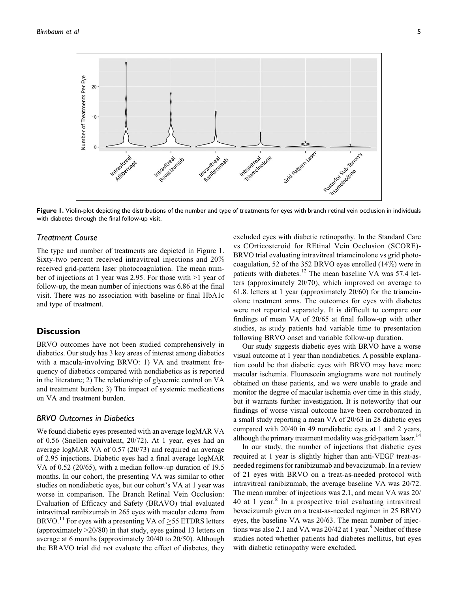

Figure 1. Violin-plot depicting the distributions of the number and type of treatments for eyes with branch retinal vein occlusion in individuals with diabetes through the final follow-up visit.

## Treatment Course

The type and number of treatments are depicted in Figure 1. Sixty-two percent received intravitreal injections and 20% received grid-pattern laser photocoagulation. The mean number of injections at 1 year was 2.95. For those with >1 year of follow-up, the mean number of injections was 6.86 at the final visit. There was no association with baseline or final HbA1c and type of treatment.

# **Discussion**

BRVO outcomes have not been studied comprehensively in diabetics. Our study has 3 key areas of interest among diabetics with a macula-involving BRVO: 1) VA and treatment frequency of diabetics compared with nondiabetics as is reported in the literature; 2) The relationship of glycemic control on VA and treatment burden; 3) The impact of systemic medications on VA and treatment burden.

# BRVO Outcomes in Diabetics

We found diabetic eyes presented with an average logMAR VA of 0.56 (Snellen equivalent, 20/72). At 1 year, eyes had an average logMAR VA of 0.57 (20/73) and required an average of 2.95 injections. Diabetic eyes had a final average logMAR VA of 0.52 (20/65), with a median follow-up duration of 19.5 months. In our cohort, the presenting VA was similar to other studies on nondiabetic eyes, but our cohort's VA at 1 year was worse in comparison. The Branch Retinal Vein Occlusion: Evaluation of Efficacy and Safety (BRAVO) trial evaluated intravitreal ranibizumab in 265 eyes with macular edema from BRVO.<sup>11</sup> For eyes with a presenting VA of  $\geq$  55 ETDRS letters (approximately >20/80) in that study, eyes gained 13 letters on average at 6 months (approximately 20/40 to 20/50). Although the BRAVO trial did not evaluate the effect of diabetes, they

excluded eyes with diabetic retinopathy. In the Standard Care vs COrticosteroid for REtinal Vein Occlusion (SCORE)- BRVO trial evaluating intravitreal triamcinolone vs grid photocoagulation, 52 of the 352 BRVO eyes enrolled (14%) were in patients with diabetes.<sup>12</sup> The mean baseline VA was 57.4 letters (approximately 20/70), which improved on average to 61.8. letters at 1 year (approximately 20/60) for the triamcinolone treatment arms. The outcomes for eyes with diabetes were not reported separately. It is difficult to compare our findings of mean VA of 20/65 at final follow-up with other studies, as study patients had variable time to presentation following BRVO onset and variable follow-up duration.

Our study suggests diabetic eyes with BRVO have a worse visual outcome at 1 year than nondiabetics. A possible explanation could be that diabetic eyes with BRVO may have more macular ischemia. Fluorescein angiograms were not routinely obtained on these patients, and we were unable to grade and monitor the degree of macular ischemia over time in this study, but it warrants further investigation. It is noteworthy that our findings of worse visual outcome have been corroborated in a small study reporting a mean VA of 20/63 in 28 diabetic eyes compared with 20/40 in 49 nondiabetic eyes at 1 and 2 years, although the primary treatment modality was grid-pattern laser.<sup>14</sup>

In our study, the number of injections that diabetic eyes required at 1 year is slightly higher than anti-VEGF treat-asneeded regimens for ranibizumab and bevacizumab. In a review of 21 eyes with BRVO on a treat-as-needed protocol with intravitreal ranibizumab, the average baseline VA was 20/72. The mean number of injections was 2.1, and mean VA was 20/ 40 at 1 year. $8$  In a prospective trial evaluating intravitreal bevacizumab given on a treat-as-needed regimen in 25 BRVO eyes, the baseline VA was 20/63. The mean number of injections was also 2.1 and VA was  $20/42$  at 1 year.<sup>9</sup> Neither of these studies noted whether patients had diabetes mellitus, but eyes with diabetic retinopathy were excluded.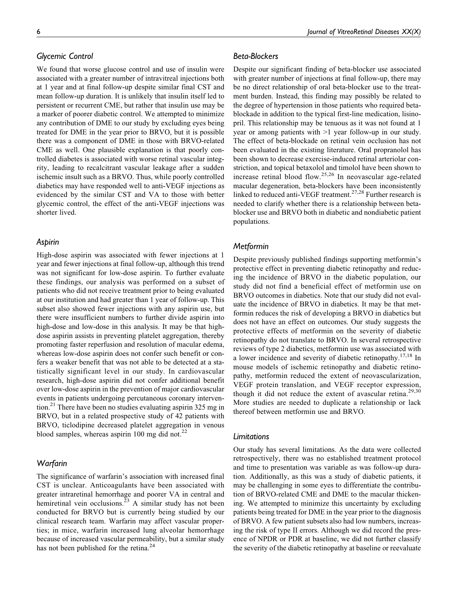# Glycemic Control

We found that worse glucose control and use of insulin were associated with a greater number of intravitreal injections both at 1 year and at final follow-up despite similar final CST and mean follow-up duration. It is unlikely that insulin itself led to persistent or recurrent CME, but rather that insulin use may be a marker of poorer diabetic control. We attempted to minimize any contribution of DME to our study by excluding eyes being treated for DME in the year prior to BRVO, but it is possible there was a component of DME in those with BRVO-related CME as well. One plausible explanation is that poorly controlled diabetes is associated with worse retinal vascular integrity, leading to recalcitrant vascular leakage after a sudden ischemic insult such as a BRVO. Thus, while poorly controlled diabetics may have responded well to anti-VEGF injections as evidenced by the similar CST and VA to those with better glycemic control, the effect of the anti-VEGF injections was shorter lived.

# Aspirin

High-dose aspirin was associated with fewer injections at 1 year and fewer injections at final follow-up, although this trend was not significant for low-dose aspirin. To further evaluate these findings, our analysis was performed on a subset of patients who did not receive treatment prior to being evaluated at our institution and had greater than 1 year of follow-up. This subset also showed fewer injections with any aspirin use, but there were insufficient numbers to further divide aspirin into high-dose and low-dose in this analysis. It may be that highdose aspirin assists in preventing platelet aggregation, thereby promoting faster reperfusion and resolution of macular edema, whereas low-dose aspirin does not confer such benefit or confers a weaker benefit that was not able to be detected at a statistically significant level in our study. In cardiovascular research, high-dose aspirin did not confer additional benefit over low-dose aspirin in the prevention of major cardiovascular events in patients undergoing percutaneous coronary intervention.<sup>21</sup> There have been no studies evaluating aspirin 325 mg in BRVO, but in a related prospective study of 42 patients with BRVO, ticlodipine decreased platelet aggregation in venous blood samples, whereas aspirin 100 mg did not. $^{22}$ 

# **Warfarin**

The significance of warfarin's association with increased final CST is unclear. Anticoagulants have been associated with greater intraretinal hemorrhage and poorer VA in central and hemiretinal vein occlusions.<sup>23</sup> A similar study has not been conducted for BRVO but is currently being studied by our clinical research team. Warfarin may affect vascular properties; in mice, warfarin increased lung alveolar hemorrhage because of increased vascular permeability, but a similar study has not been published for the retina.<sup>24</sup>

# Beta-Blockers

Despite our significant finding of beta-blocker use associated with greater number of injections at final follow-up, there may be no direct relationship of oral beta-blocker use to the treatment burden. Instead, this finding may possibly be related to the degree of hypertension in those patients who required betablockade in addition to the typical first-line medication, lisinopril. This relationship may be tenuous as it was not found at 1 year or among patients with >1 year follow-up in our study. The effect of beta-blockade on retinal vein occlusion has not been evaluated in the existing literature. Oral propranolol has been shown to decrease exercise-induced retinal arteriolar constriction, and topical betaxolol and timolol have been shown to increase retinal blood flow.25,26 In neovascular age-related macular degeneration, beta-blockers have been inconsistently linked to reduced anti-VEGF treatment.<sup>27,28</sup> Further research is needed to clarify whether there is a relationship between betablocker use and BRVO both in diabetic and nondiabetic patient populations.

# **Metformin**

Despite previously published findings supporting metformin's protective effect in preventing diabetic retinopathy and reducing the incidence of BRVO in the diabetic population, our study did not find a beneficial effect of metformin use on BRVO outcomes in diabetics. Note that our study did not evaluate the incidence of BRVO in diabetics. It may be that metformin reduces the risk of developing a BRVO in diabetics but does not have an effect on outcomes. Our study suggests the protective effects of metformin on the severity of diabetic retinopathy do not translate to BRVO. In several retrospective reviews of type 2 diabetics, metformin use was associated with a lower incidence and severity of diabetic retinopathy.17,18 In mouse models of ischemic retinopathy and diabetic retinopathy, metformin reduced the extent of neovascularization, VEGF protein translation, and VEGF receptor expression, though it did not reduce the extent of avascular retina.<sup>29,30</sup> More studies are needed to duplicate a relationship or lack thereof between metformin use and BRVO.

### Limitations

Our study has several limitations. As the data were collected retrospectively, there was no established treatment protocol and time to presentation was variable as was follow-up duration. Additionally, as this was a study of diabetic patients, it may be challenging in some eyes to differentiate the contribution of BRVO-related CME and DME to the macular thickening. We attempted to minimize this uncertainty by excluding patients being treated for DME in the year prior to the diagnosis of BRVO. A few patient subsets also had low numbers, increasing the risk of type II errors. Although we did record the presence of NPDR or PDR at baseline, we did not further classify the severity of the diabetic retinopathy at baseline or reevaluate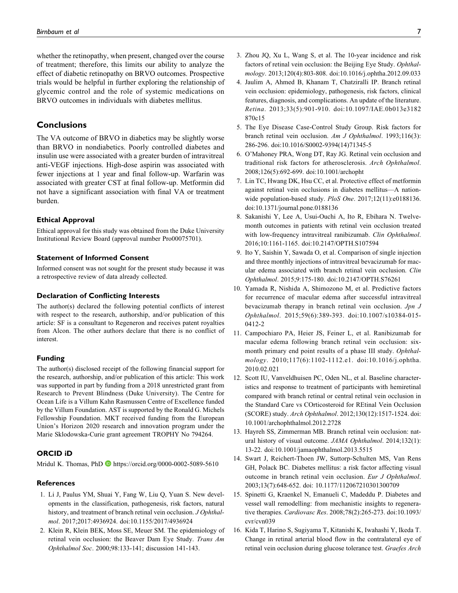whether the retinopathy, when present, changed over the course of treatment; therefore, this limits our ability to analyze the effect of diabetic retinopathy on BRVO outcomes. Prospective trials would be helpful in further exploring the relationship of glycemic control and the role of systemic medications on BRVO outcomes in individuals with diabetes mellitus.

# **Conclusions**

The VA outcome of BRVO in diabetics may be slightly worse than BRVO in nondiabetics. Poorly controlled diabetes and insulin use were associated with a greater burden of intravitreal anti-VEGF injections. High-dose aspirin was associated with fewer injections at 1 year and final follow-up. Warfarin was associated with greater CST at final follow-up. Metformin did not have a significant association with final VA or treatment burden.

### Ethical Approval

Ethical approval for this study was obtained from the Duke University Institutional Review Board (approval number Pro00075701).

### Statement of Informed Consent

Informed consent was not sought for the present study because it was a retrospective review of data already collected.

#### Declaration of Conflicting Interests

The author(s) declared the following potential conflicts of interest with respect to the research, authorship, and/or publication of this article: SF is a consultant to Regeneron and receives patent royalties from Alcon. The other authors declare that there is no conflict of interest.

#### Funding

The author(s) disclosed receipt of the following financial support for the research, authorship, and/or publication of this article: This work was supported in part by funding from a 2018 unrestricted grant from Research to Prevent Blindness (Duke University). The Centre for Ocean Life is a Villum Kahn Rasmussen Centre of Excellence funded by the Villum Foundation. AST is supported by the Ronald G. Michels Fellowship Foundation. MKT received funding from the European Union's Horizon 2020 research and innovation program under the Marie Sklodowska-Curie grant agreement TROPHY No 794264.

### ORCID iD

Mridul K. Thomas, PhD **D** <https://orcid.org/0000-0002-5089-5610>

### References

- 1. Li J, Paulus YM, Shuai Y, Fang W, Liu Q, Yuan S. New developments in the classification, pathogenesis, risk factors, natural history, and treatment of branch retinal vein occlusion. J Ophthalmol. 2017;2017:4936924. doi:10.1155/2017/4936924
- 2. Klein R, Klein BEK, Moss SE, Meuer SM. The epidemiology of retinal vein occlusion: the Beaver Dam Eye Study. Trans Am Ophthalmol Soc. 2000;98:133-141; discussion 141-143.
- 3. Zhou JQ, Xu L, Wang S, et al. The 10-year incidence and risk factors of retinal vein occlusion: the Beijing Eye Study. Ophthalmology. 2013;120(4):803-808. doi:10.1016/j.ophtha.2012.09.033
- 4. Jaulim A, Ahmed B, Khanam T, Chatziralli IP. Branch retinal vein occlusion: epidemiology, pathogenesis, risk factors, clinical features, diagnosis, and complications. An update of the literature. Retina. 2013;33(5):901-910. doi:10.1097/IAE.0b013e3182 870c15
- 5. The Eye Disease Case-Control Study Group. Risk factors for branch retinal vein occlusion. Am J Ophthalmol. 1993;116(3): 286-296. doi:10.1016/S0002-9394(14)71345-5
- 6. O'Mahoney PRA, Wong DT, Ray JG. Retinal vein occlusion and traditional risk factors for atherosclerosis. Arch Ophthalmol. 2008;126(5):692-699. doi:10.1001/archopht
- 7. Lin TC, Hwang DK, Hsu CC, et al. Protective effect of metformin against retinal vein occlusions in diabetes mellitus—A nationwide population-based study. PloS One. 2017;12(11):e0188136. doi:10.1371/journal.pone.0188136
- 8. Sakanishi Y, Lee A, Usui-Ouchi A, Ito R, Ebihara N. Twelvemonth outcomes in patients with retinal vein occlusion treated with low-frequency intravitreal ranibizumab. Clin Ophthalmol. 2016;10:1161-1165. doi:10.2147/OPTH.S107594
- 9. Ito Y, Saishin Y, Sawada O, et al. Comparison of single injection and three monthly injections of intravitreal bevacizumab for macular edema associated with branch retinal vein occlusion. Clin Ophthalmol. 2015;9:175-180. doi:10.2147/OPTH.S76261
- 10. Yamada R, Nishida A, Shimozono M, et al. Predictive factors for recurrence of macular edema after successful intravitreal bevacizumab therapy in branch retinal vein occlusion. Jpn J Ophthalmol. 2015;59(6):389-393. doi:10.1007/s10384-015- 0412-2
- 11. Campochiaro PA, Heier JS, Feiner L, et al. Ranibizumab for macular edema following branch retinal vein occlusion: sixmonth primary end point results of a phase III study. Ophthalmology. 2010;117(6):1102-1112.e1. doi:10.1016/j.ophtha. 2010.02.021
- 12. Scott IU, Vanveldhuisen PC, Oden NL, et al. Baseline characteristics and response to treatment of participants with hemiretinal compared with branch retinal or central retinal vein occlusion in the Standard Care vs COrticosteroid for REtinal Vein Occlusion (SCORE) study. Arch Ophthalmol. 2012;130(12):1517-1524. doi: 10.1001/archophthalmol.2012.2728
- 13. Hayreh SS, Zimmerman MB. Branch retinal vein occlusion: natural history of visual outcome. JAMA Ophthalmol. 2014;132(1): 13-22. doi:10.1001/jamaophthalmol.2013.5515
- 14. Swart J, Reichert-Thoen JW, Suttorp-Schulten MS, Van Rens GH, Polack BC. Diabetes mellitus: a risk factor affecting visual outcome in branch retinal vein occlusion. Eur J Ophthalmol. 2003;13(7):648-652. doi: 10.1177/112067210301300709
- 15. Spinetti G, Kraenkel N, Emanueli C, Madeddu P. Diabetes and vessel wall remodelling: from mechanistic insights to regenerative therapies. Cardiovasc Res. 2008;78(2):265-273. doi:10.1093/ cvr/cvn039
- 16. Kida T, Harino S, Sugiyama T, Kitanishi K, Iwahashi Y, Ikeda T. Change in retinal arterial blood flow in the contralateral eye of retinal vein occlusion during glucose tolerance test. Graefes Arch